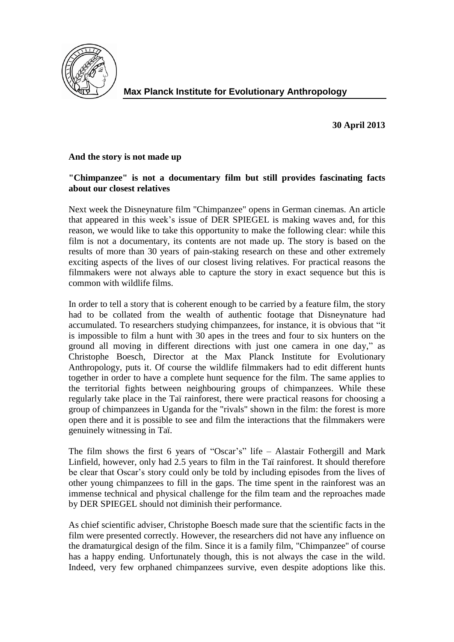

**30 April 2013**

## **And the story is not made up**

## **"Chimpanzee" is not a documentary film but still provides fascinating facts about our closest relatives**

Next week the Disneynature film "Chimpanzee" opens in German cinemas. An article that appeared in this week's issue of DER SPIEGEL is making waves and, for this reason, we would like to take this opportunity to make the following clear: while this film is not a documentary, its contents are not made up. The story is based on the results of more than 30 years of pain-staking research on these and other extremely exciting aspects of the lives of our closest living relatives. For practical reasons the filmmakers were not always able to capture the story in exact sequence but this is common with wildlife films.

In order to tell a story that is coherent enough to be carried by a feature film, the story had to be collated from the wealth of authentic footage that Disneynature had accumulated. To researchers studying chimpanzees, for instance, it is obvious that "it is impossible to film a hunt with 30 apes in the trees and four to six hunters on the ground all moving in different directions with just one camera in one day," as Christophe Boesch, Director at the Max Planck Institute for Evolutionary Anthropology, puts it. Of course the wildlife filmmakers had to edit different hunts together in order to have a complete hunt sequence for the film. The same applies to the territorial fights between neighbouring groups of chimpanzees. While these regularly take place in the Taï rainforest, there were practical reasons for choosing a group of chimpanzees in Uganda for the "rivals" shown in the film: the forest is more open there and it is possible to see and film the interactions that the filmmakers were genuinely witnessing in Taï.

The film shows the first 6 years of "Oscar's" life – Alastair Fothergill and Mark Linfield, however, only had 2.5 years to film in the Taï rainforest. It should therefore be clear that Oscar's story could only be told by including episodes from the lives of other young chimpanzees to fill in the gaps. The time spent in the rainforest was an immense technical and physical challenge for the film team and the reproaches made by DER SPIEGEL should not diminish their performance.

As chief scientific adviser, Christophe Boesch made sure that the scientific facts in the film were presented correctly. However, the researchers did not have any influence on the dramaturgical design of the film. Since it is a family film, "Chimpanzee" of course has a happy ending. Unfortunately though, this is not always the case in the wild. Indeed, very few orphaned chimpanzees survive, even despite adoptions like this.